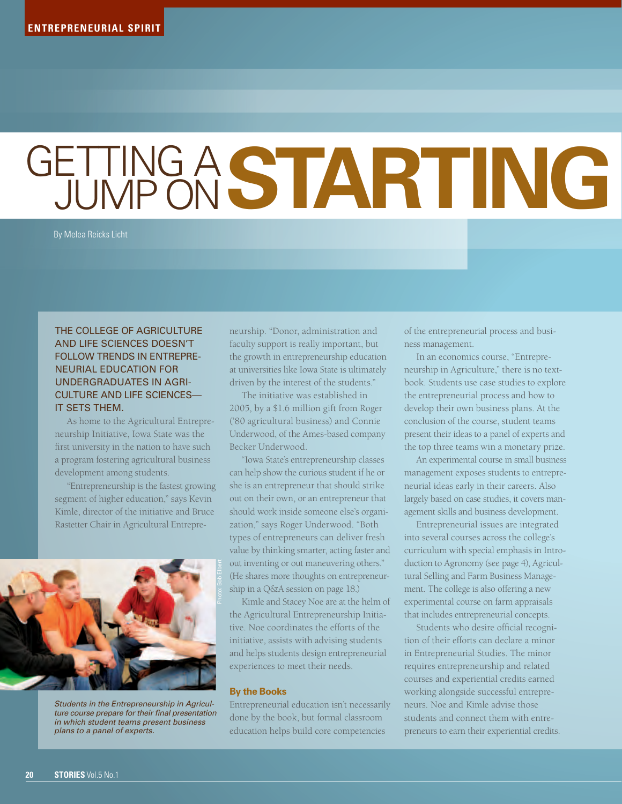## **GETTING A STARTING**

By Melea Reicks Licht

## THE COLLEGE OF AGRICULTURE and Life Sciences doesn't FOLLOW TRENDS IN ENTREPREneurial education for undergraduates in agriculture and life sciences it sets them.

As home to the Agricultural Entrepreneurship Initiative, Iowa State was the first university in the nation to have such a program fostering agricultural business development among students.

"Entrepreneurship is the fastest growing segment of higher education," says Kevin Kimle, director of the initiative and Bruce Rastetter Chair in Agricultural Entrepre-



*Students in the Entrepreneurship in Agriculture course prepare for their final presentation in which student teams present business plans to a panel of experts.*

neurship. "Donor, administration and faculty support is really important, but the growth in entrepreneurship education at universities like Iowa State is ultimately driven by the interest of the students."

The initiative was established in 2005, by a \$1.6 million gift from Roger ('80 agricultural business) and Connie Underwood, of the Ames-based company Becker Underwood.

"Iowa State's entrepreneurship classes can help show the curious student if he or she is an entrepreneur that should strike out on their own, or an entrepreneur that should work inside someone else's organization," says Roger Underwood. "Both types of entrepreneurs can deliver fresh value by thinking smarter, acting faster and out inventing or out maneuvering others." (He shares more thoughts on entrepreneurship in a Q&A session on page 18.)

Kimle and Stacey Noe are at the helm of the Agricultural Entrepreneurship Initiative. Noe coordinates the efforts of the initiative, assists with advising students and helps students design entrepreneurial experiences to meet their needs.

## **By the Books**

Entrepreneurial education isn't necessarily done by the book, but formal classroom education helps build core competencies

of the entrepreneurial process and business management.

In an economics course, "Entrepreneurship in Agriculture," there is no textbook. Students use case studies to explore the entrepreneurial process and how to develop their own business plans. At the conclusion of the course, student teams present their ideas to a panel of experts and the top three teams win a monetary prize.

An experimental course in small business management exposes students to entrepreneurial ideas early in their careers. Also largely based on case studies, it covers management skills and business development.

Entrepreneurial issues are integrated into several courses across the college's curriculum with special emphasis in Introduction to Agronomy (see page 4), Agricultural Selling and Farm Business Management. The college is also offering a new experimental course on farm appraisals that includes entrepreneurial concepts.

Students who desire official recognition of their efforts can declare a minor in Entrepreneurial Studies. The minor requires entrepreneurship and related courses and experiential credits earned working alongside successful entrepreneurs. Noe and Kimle advise those students and connect them with entrepreneurs to earn their experiential credits.